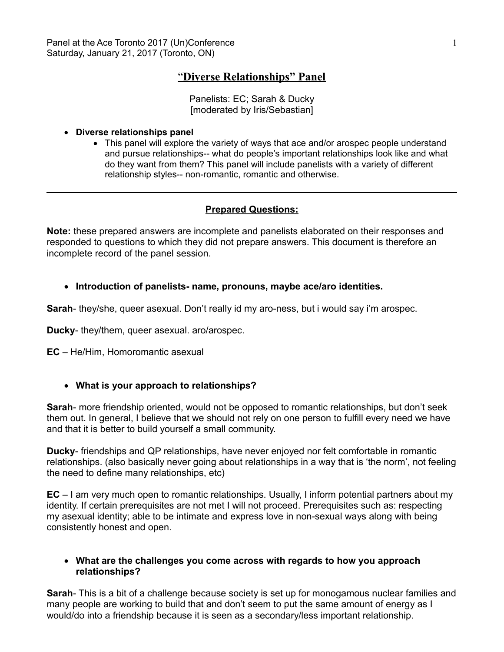# "**Diverse Relationships" Panel**

Panelists: EC; Sarah & Ducky [moderated by Iris/Sebastian]

#### **Diverse relationships panel**

• This panel will explore the variety of ways that ace and/or arospec people understand and pursue relationships-- what do people's important relationships look like and what do they want from them? This panel will include panelists with a variety of different relationship styles-- non-romantic, romantic and otherwise.

### **Prepared Questions:**

**Note:** these prepared answers are incomplete and panelists elaborated on their responses and responded to questions to which they did not prepare answers. This document is therefore an incomplete record of the panel session.

### **Introduction of panelists- name, pronouns, maybe ace/aro identities.**

**Sarah**- they/she, queer asexual. Don't really id my aro-ness, but i would say i'm arospec.

**Ducky**- they/them, queer asexual. aro/arospec.

**EC** – He/Him, Homoromantic asexual

### **What is your approach to relationships?**

**Sarah**- more friendship oriented, would not be opposed to romantic relationships, but don't seek them out. In general, I believe that we should not rely on one person to fulfill every need we have and that it is better to build yourself a small community.

**Ducky**- friendships and QP relationships, have never enjoyed nor felt comfortable in romantic relationships. (also basically never going about relationships in a way that is 'the norm', not feeling the need to define many relationships, etc)

**EC** – I am very much open to romantic relationships. Usually, I inform potential partners about my identity. If certain prerequisites are not met I will not proceed. Prerequisites such as: respecting my asexual identity; able to be intimate and express love in non-sexual ways along with being consistently honest and open.

### **What are the challenges you come across with regards to how you approach relationships?**

**Sarah**- This is a bit of a challenge because society is set up for monogamous nuclear families and many people are working to build that and don't seem to put the same amount of energy as I would/do into a friendship because it is seen as a secondary/less important relationship.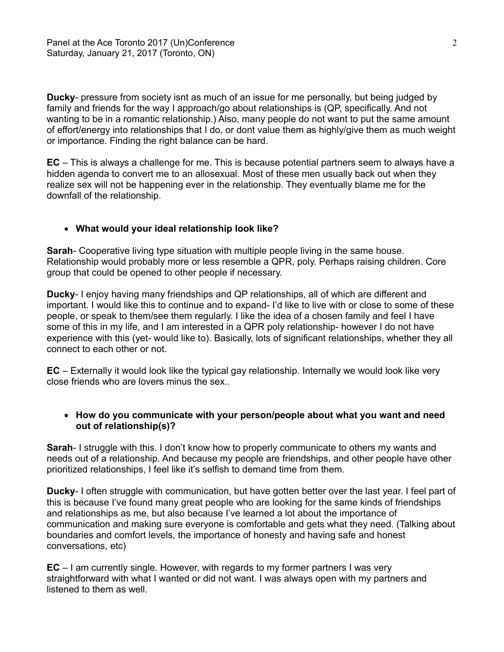**Ducky**- pressure from society isnt as much of an issue for me personally, but being judged by family and friends for the way I approach/go about relationships is (QP, specifically. And not wanting to be in a romantic relationship.) Also, many people do not want to put the same amount of effort/energy into relationships that I do, or dont value them as highly/give them as much weight or importance. Finding the right balance can be hard.

**EC** – This is always a challenge for me. This is because potential partners seem to always have a hidden agenda to convert me to an allosexual. Most of these men usually back out when they realize sex will not be happening ever in the relationship. They eventually blame me for the downfall of the relationship.

# **What would your ideal relationship look like?**

**Sarah**- Cooperative living type situation with multiple people living in the same house. Relationship would probably more or less resemble a QPR, poly. Perhaps raising children. Core group that could be opened to other people if necessary.

**Ducky**- I enjoy having many friendships and QP relationships, all of which are different and important. I would like this to continue and to expand- I'd like to live with or close to some of these people, or speak to them/see them regularly. I like the idea of a chosen family and feel I have some of this in my life, and I am interested in a QPR poly relationship- however I do not have experience with this (yet- would like to). Basically, lots of significant relationships, whether they all connect to each other or not.

**EC** – Externally it would look like the typical gay relationship. Internally we would look like very close friends who are lovers minus the sex..

# **How do you communicate with your person/people about what you want and need out of relationship(s)?**

**Sarah- I struggle with this. I don't know how to properly communicate to others my wants and** needs out of a relationship. And because my people are friendships, and other people have other prioritized relationships, I feel like it's selfish to demand time from them.

**Ducky**- I often struggle with communication, but have gotten better over the last year. I feel part of this is because I've found many great people who are looking for the same kinds of friendships and relationships as me, but also because I've learned a lot about the importance of communication and making sure everyone is comfortable and gets what they need. (Talking about boundaries and comfort levels, the importance of honesty and having safe and honest conversations, etc)

**EC** – I am currently single. However, with regards to my former partners I was very straightforward with what I wanted or did not want. I was always open with my partners and listened to them as well.